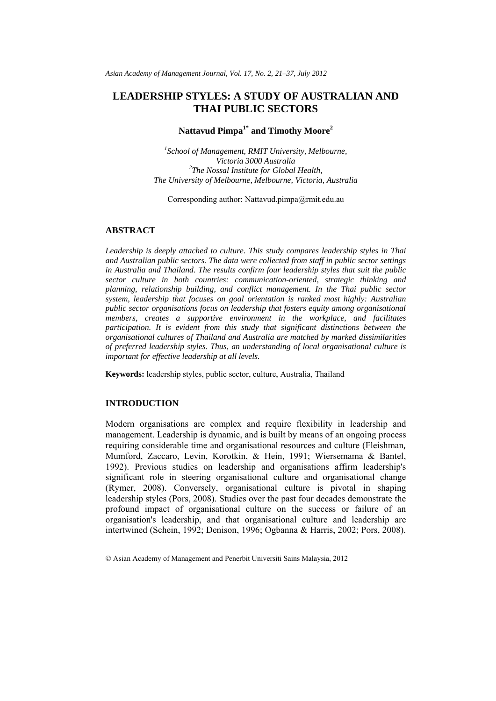# **LEADERSHIP STYLES: A STUDY OF AUSTRALIAN AND THAI PUBLIC SECTORS**

# **Nattavud Pimpa1\* and Timothy Moore2**

*1 School of Management, RMIT University, Melbourne, Victoria 3000 Australia 2 The Nossal Institute for Global Health, The University of Melbourne, Melbourne, Victoria, Australia* 

Corresponding author: Nattavud.pimpa@rmit.edu.au

# **ABSTRACT**

*Leadership is deeply attached to culture. This study compares leadership styles in Thai and Australian public sectors. The data were collected from staff in public sector settings in Australia and Thailand. The results confirm four leadership styles that suit the public sector culture in both countries: communication-oriented, strategic thinking and planning, relationship building, and conflict management. In the Thai public sector system, leadership that focuses on goal orientation is ranked most highly: Australian public sector organisations focus on leadership that fosters equity among organisational members, creates a supportive environment in the workplace, and facilitates participation. It is evident from this study that significant distinctions between the organisational cultures of Thailand and Australia are matched by marked dissimilarities of preferred leadership styles. Thus, an understanding of local organisational culture is important for effective leadership at all levels.* 

**Keywords:** leadership styles, public sector, culture, Australia, Thailand

#### **INTRODUCTION**

Modern organisations are complex and require flexibility in leadership and management. Leadership is dynamic, and is built by means of an ongoing process requiring considerable time and organisational resources and culture (Fleishman, Mumford, Zaccaro, Levin, Korotkin, & Hein, 1991; Wiersemama & Bantel, 1992). Previous studies on leadership and organisations affirm leadership's significant role in steering organisational culture and organisational change (Rymer, 2008). Conversely, organisational culture is pivotal in shaping leadership styles (Pors, 2008). Studies over the past four decades demonstrate the profound impact of organisational culture on the success or failure of an organisation's leadership, and that organisational culture and leadership are intertwined (Schein, 1992; Denison, 1996; Ogbanna & Harris, 2002; Pors, 2008).

<sup>©</sup> Asian Academy of Management and Penerbit Universiti Sains Malaysia, 2012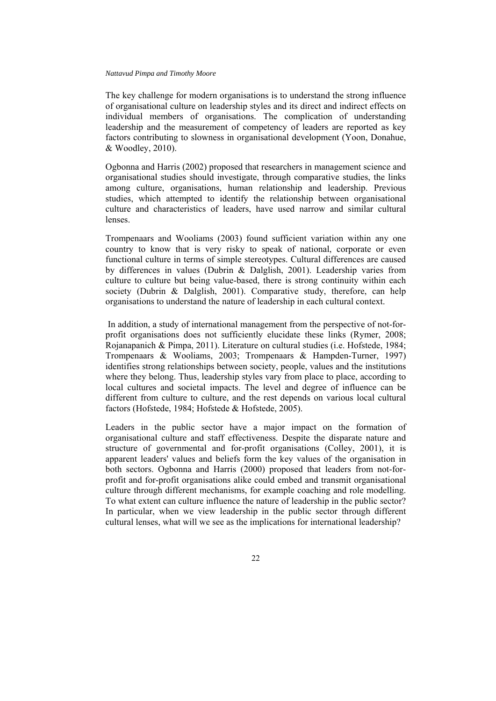The key challenge for modern organisations is to understand the strong influence of organisational culture on leadership styles and its direct and indirect effects on individual members of organisations. The complication of understanding leadership and the measurement of competency of leaders are reported as key factors contributing to slowness in organisational development (Yoon, Donahue, & Woodley, 2010).

Ogbonna and Harris (2002) proposed that researchers in management science and organisational studies should investigate, through comparative studies, the links among culture, organisations, human relationship and leadership. Previous studies, which attempted to identify the relationship between organisational culture and characteristics of leaders, have used narrow and similar cultural lenses.

Trompenaars and Wooliams (2003) found sufficient variation within any one country to know that is very risky to speak of national, corporate or even functional culture in terms of simple stereotypes. Cultural differences are caused by differences in values (Dubrin & Dalglish, 2001). Leadership varies from culture to culture but being value-based, there is strong continuity within each society (Dubrin & Dalglish, 2001). Comparative study, therefore, can help organisations to understand the nature of leadership in each cultural context.

 In addition, a study of international management from the perspective of not-forprofit organisations does not sufficiently elucidate these links (Rymer, 2008; Rojanapanich & Pimpa, 2011). Literature on cultural studies (i.e. Hofstede, 1984; Trompenaars & Wooliams, 2003; Trompenaars & Hampden-Turner, 1997) identifies strong relationships between society, people, values and the institutions where they belong. Thus, leadership styles vary from place to place, according to local cultures and societal impacts. The level and degree of influence can be different from culture to culture, and the rest depends on various local cultural factors (Hofstede, 1984; Hofstede & Hofstede, 2005).

Leaders in the public sector have a major impact on the formation of organisational culture and staff effectiveness. Despite the disparate nature and structure of governmental and for-profit organisations (Colley, 2001), it is apparent leaders' values and beliefs form the key values of the organisation in both sectors. Ogbonna and Harris (2000) proposed that leaders from not-forprofit and for-profit organisations alike could embed and transmit organisational culture through different mechanisms, for example coaching and role modelling. To what extent can culture influence the nature of leadership in the public sector? In particular, when we view leadership in the public sector through different cultural lenses, what will we see as the implications for international leadership?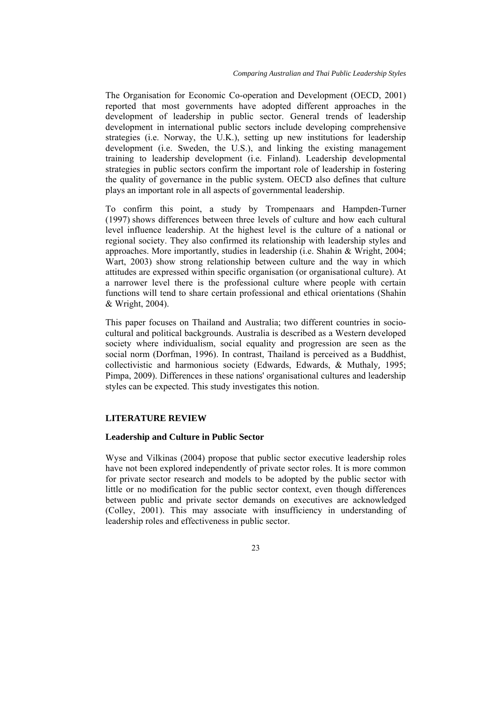The Organisation for Economic Co-operation and Development (OECD, 2001) reported that most governments have adopted different approaches in the development of leadership in public sector. General trends of leadership development in international public sectors include developing comprehensive strategies (i.e. Norway, the U.K.), setting up new institutions for leadership development (i.e. Sweden, the U.S.), and linking the existing management training to leadership development (i.e. Finland). Leadership developmental strategies in public sectors confirm the important role of leadership in fostering the quality of governance in the public system. OECD also defines that culture plays an important role in all aspects of governmental leadership.

To confirm this point, a study by [Trompenaars and Hampden-Turner](http://www.emeraldinsight.com/journals.htm?issn=0143-7739&volume=25&issue=6&articleid=1410739&show=html#idb38)  [\(1997\)](http://www.emeraldinsight.com/journals.htm?issn=0143-7739&volume=25&issue=6&articleid=1410739&show=html#idb38) shows differences between three levels of culture and how each cultural level influence leadership. At the highest level is the culture of a national or regional society. They also confirmed its relationship with leadership styles and approaches. More importantly, studies in leadership (i.e. Shahin & Wright, 2004; Wart, 2003) show strong relationship between culture and the way in which attitudes are expressed within specific organisation (or organisational culture). At a narrower level there is the professional culture where people with certain functions will tend to share certain professional and ethical orientations (Shahin & Wright, 2004).

This paper focuses on Thailand and Australia; two different countries in sociocultural and political backgrounds. Australia is described as a Western developed society where individualism, social equality and progression are seen as the social norm (Dorfman, 1996). In contrast, Thailand is perceived as a Buddhist, collectivistic and harmonious society (Edwards, Edwards, & Muthaly, 1995; Pimpa, 2009). Differences in these nations' organisational cultures and leadership styles can be expected. This study investigates this notion.

### **LITERATURE REVIEW**

#### **Leadership and Culture in Public Sector**

Wyse and Vilkinas (2004) propose that public sector executive leadership roles have not been explored independently of private sector roles. It is more common for private sector research and models to be adopted by the public sector with little or no modification for the public sector context, even though differences between public and private sector demands on executives are acknowledged (Colley, 2001). This may associate with insufficiency in understanding of leadership roles and effectiveness in public sector.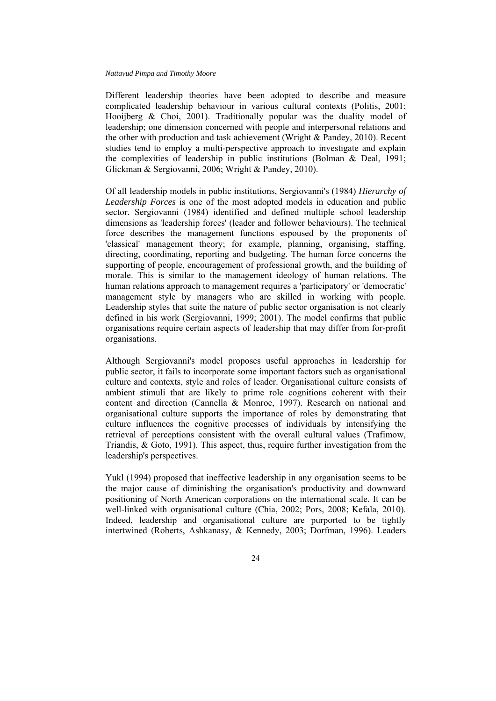Different leadership theories have been adopted to describe and measure complicated leadership behaviour in various cultural contexts (Politis, 2001; Hooijberg & Choi, 2001). Traditionally popular was the duality model of leadership; one dimension concerned with people and interpersonal relations and the other with production and task achievement (Wright & Pandey, 2010). Recent studies tend to employ a multi-perspective approach to investigate and explain the complexities of leadership in public institutions (Bolman & Deal, 1991; Glickman & Sergiovanni, 2006; Wright & Pandey, 2010).

Of all leadership models in public institutions, Sergiovanni's (1984) *Hierarchy of Leadership Forces* is one of the most adopted models in education and public sector. Sergiovanni (1984) identified and defined multiple school leadership dimensions as 'leadership forces' (leader and follower behaviours). The technical force describes the management functions espoused by the proponents of 'classical' management theory; for example, planning, organising, staffing, directing, coordinating, reporting and budgeting. The human force concerns the supporting of people, encouragement of professional growth, and the building of morale. This is similar to the management ideology of human relations. The human relations approach to management requires a 'participatory' or 'democratic' management style by managers who are skilled in working with people. Leadership styles that suite the nature of public sector organisation is not clearly defined in his work (Sergiovanni, 1999; 2001). The model confirms that public organisations require certain aspects of leadership that may differ from for-profit organisations.

Although Sergiovanni's model proposes useful approaches in leadership for public sector, it fails to incorporate some important factors such as organisational culture and contexts, style and roles of leader. Organisational culture consists of ambient stimuli that are likely to prime role cognitions coherent with their content and direction (Cannella & Monroe, 1997). Research on national and organisational culture supports the importance of roles by demonstrating that culture influences the cognitive processes of individuals by intensifying the retrieval of perceptions consistent with the overall cultural values (Trafimow, Triandis, & Goto, 1991). This aspect, thus, require further investigation from the leadership's perspectives.

Yukl (1994) proposed that ineffective leadership in any organisation seems to be the major cause of diminishing the organisation's productivity and downward positioning of North American corporations on the international scale. It can be well-linked with organisational culture (Chia, 2002; Pors, 2008; Kefala, 2010). Indeed, leadership and organisational culture are purported to be tightly intertwined (Roberts, Ashkanasy, & Kennedy, 2003; Dorfman, 1996). Leaders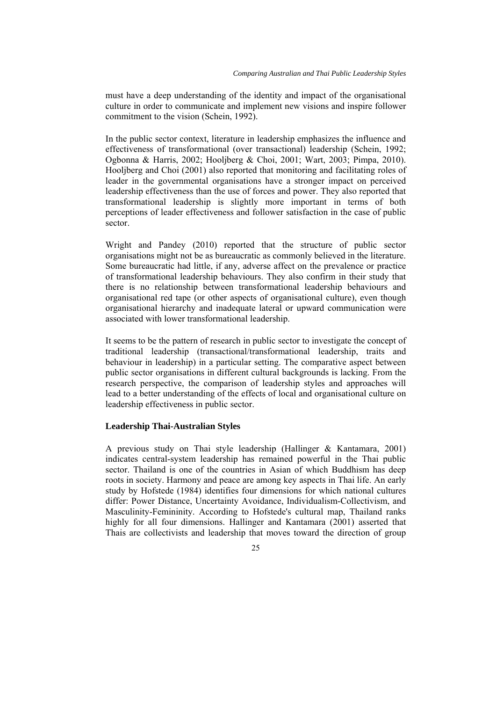must have a deep understanding of the identity and impact of the organisational culture in order to communicate and implement new visions and inspire follower commitment to the vision (Schein, 1992).

In the public sector context, literature in leadership emphasizes the influence and effectiveness of transformational (over transactional) leadership (Schein, 1992; Ogbonna & Harris, 2002; Hooljberg & Choi, 2001; Wart, 2003; Pimpa, 2010). Hooljberg and Choi (2001) also reported that monitoring and facilitating roles of leader in the governmental organisations have a stronger impact on perceived leadership effectiveness than the use of forces and power. They also reported that transformational leadership is slightly more important in terms of both perceptions of leader effectiveness and follower satisfaction in the case of public sector.

Wright and Pandey (2010) reported that the structure of public sector organisations might not be as bureaucratic as commonly believed in the literature. Some bureaucratic had little, if any, adverse affect on the prevalence or practice of transformational leadership behaviours. They also confirm in their study that there is no relationship between transformational leadership behaviours and organisational red tape (or other aspects of organisational culture), even though organisational hierarchy and inadequate lateral or upward communication were associated with lower transformational leadership.

It seems to be the pattern of research in public sector to investigate the concept of traditional leadership (transactional/transformational leadership, traits and behaviour in leadership) in a particular setting. The comparative aspect between public sector organisations in different cultural backgrounds is lacking. From the research perspective, the comparison of leadership styles and approaches will lead to a better understanding of the effects of local and organisational culture on leadership effectiveness in public sector.

### **Leadership Thai-Australian Styles**

A previous study on Thai style leadership (Hallinger & Kantamara, 2001) indicates central-system leadership has remained powerful in the Thai public sector. Thailand is one of the countries in Asian of which Buddhism has deep roots in society. Harmony and peace are among key aspects in Thai life. An early study by Hofstede (1984) identifies four dimensions for which national cultures differ: Power Distance, Uncertainty Avoidance, Individualism-Collectivism, and Masculinity-Femininity. According to Hofstede's cultural map, Thailand ranks highly for all four dimensions. Hallinger and Kantamara (2001) asserted that Thais are collectivists and leadership that moves toward the direction of group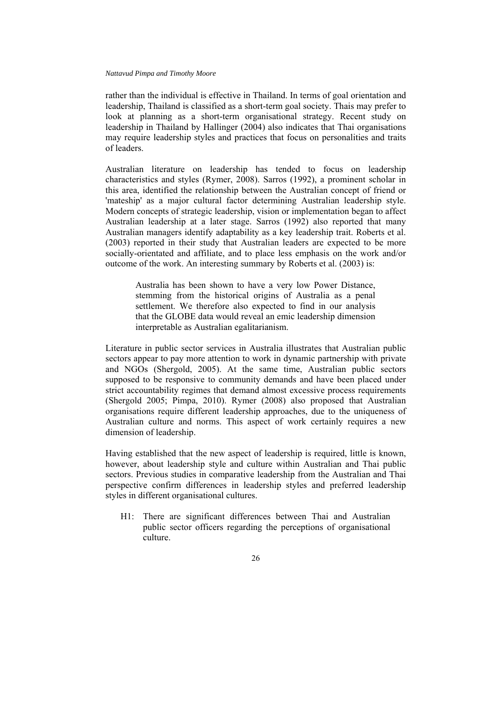rather than the individual is effective in Thailand. In terms of goal orientation and leadership, Thailand is classified as a short-term goal society. Thais may prefer to look at planning as a short-term organisational strategy. Recent study on leadership in Thailand by Hallinger (2004) also indicates that Thai organisations may require leadership styles and practices that focus on personalities and traits of leaders.

Australian literature on leadership has tended to focus on leadership characteristics and styles (Rymer, 2008). Sarros (1992), a prominent scholar in this area, identified the relationship between the Australian concept of friend or 'mateship' as a major cultural factor determining Australian leadership style. Modern concepts of strategic leadership, vision or implementation began to affect Australian leadership at a later stage. Sarros (1992) also reported that many Australian managers identify adaptability as a key leadership trait. Roberts et al. (2003) reported in their study that Australian leaders are expected to be more socially-orientated and affiliate, and to place less emphasis on the work and/or outcome of the work. An interesting summary by Roberts et al. (2003) is:

Australia has been shown to have a very low Power Distance, stemming from the historical origins of Australia as a penal settlement. We therefore also expected to find in our analysis that the GLOBE data would reveal an emic leadership dimension interpretable as Australian egalitarianism.

Literature in public sector services in Australia illustrates that Australian public sectors appear to pay more attention to work in dynamic partnership with private and NGOs (Shergold, 2005). At the same time, Australian public sectors supposed to be responsive to community demands and have been placed under strict accountability regimes that demand almost excessive process requirements (Shergold 2005; Pimpa, 2010). Rymer (2008) also proposed that Australian organisations require different leadership approaches, due to the uniqueness of Australian culture and norms. This aspect of work certainly requires a new dimension of leadership.

Having established that the new aspect of leadership is required, little is known, however, about leadership style and culture within Australian and Thai public sectors. Previous studies in comparative leadership from the Australian and Thai perspective confirm differences in leadership styles and preferred leadership styles in different organisational cultures.

H1: There are significant differences between Thai and Australian public sector officers regarding the perceptions of organisational culture.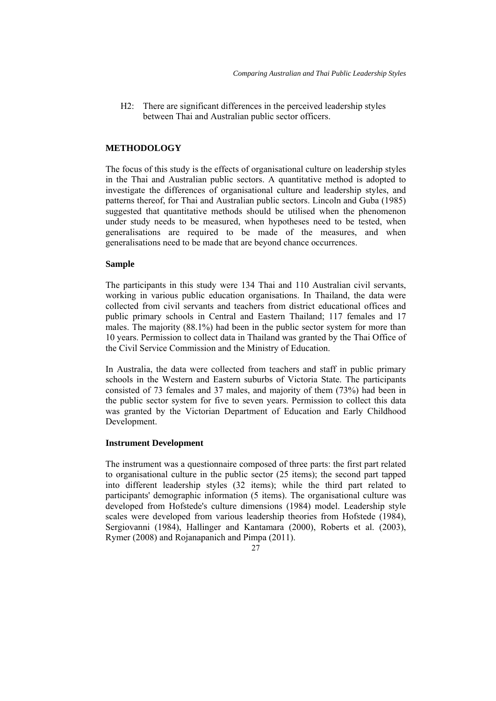H2: There are significant differences in the perceived leadership styles between Thai and Australian public sector officers.

### **METHODOLOGY**

The focus of this study is the effects of organisational culture on leadership styles in the Thai and Australian public sectors. A quantitative method is adopted to investigate the differences of organisational culture and leadership styles, and patterns thereof, for Thai and Australian public sectors. Lincoln and Guba (1985) suggested that quantitative methods should be utilised when the phenomenon under study needs to be measured, when hypotheses need to be tested, when generalisations are required to be made of the measures, and when generalisations need to be made that are beyond chance occurrences.

### **Sample**

The participants in this study were 134 Thai and 110 Australian civil servants, working in various public education organisations. In Thailand, the data were collected from civil servants and teachers from district educational offices and public primary schools in Central and Eastern Thailand; 117 females and 17 males. The majority (88.1%) had been in the public sector system for more than 10 years. Permission to collect data in Thailand was granted by the Thai Office of the Civil Service Commission and the Ministry of Education.

In Australia, the data were collected from teachers and staff in public primary schools in the Western and Eastern suburbs of Victoria State. The participants consisted of 73 females and 37 males, and majority of them (73%) had been in the public sector system for five to seven years. Permission to collect this data was granted by the Victorian Department of Education and Early Childhood Development.

### **Instrument Development**

The instrument was a questionnaire composed of three parts: the first part related to organisational culture in the public sector (25 items); the second part tapped into different leadership styles (32 items); while the third part related to participants' demographic information (5 items). The organisational culture was developed from Hofstede's culture dimensions (1984) model. Leadership style scales were developed from various leadership theories from Hofstede (1984), Sergiovanni (1984), Hallinger and Kantamara (2000), Roberts et al. (2003), Rymer (2008) and Rojanapanich and Pimpa (2011).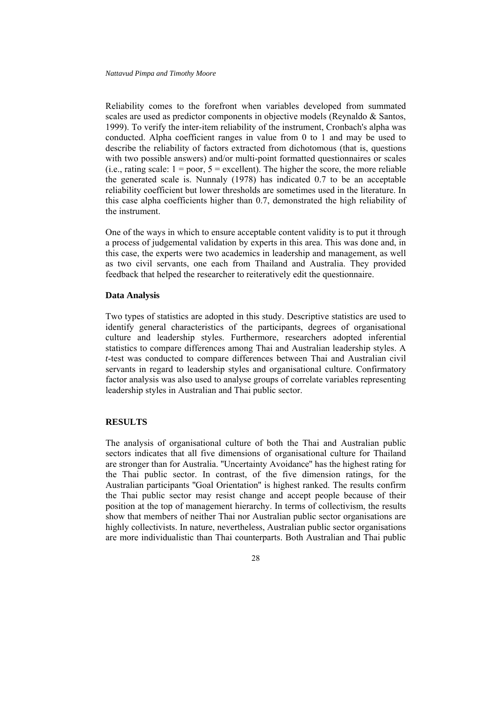Reliability comes to the forefront when variables developed from summated scales are used as predictor components in objective models (Reynaldo & Santos, 1999). To verify the inter-item reliability of the instrument, Cronbach's alpha was conducted. Alpha coefficient ranges in value from 0 to 1 and may be used to describe the reliability of factors extracted from dichotomous (that is, questions with two possible answers) and/or multi-point formatted questionnaires or scales  $(i.e., rating scale: 1 = poor, 5 = excellent)$ . The higher the score, the more reliable the generated scale is. Nunnaly (1978) has indicated 0.7 to be an acceptable reliability coefficient but lower thresholds are sometimes used in the literature. In this case alpha coefficients higher than 0.7, demonstrated the high reliability of the instrument.

One of the ways in which to ensure acceptable content validity is to put it through a process of judgemental validation by experts in this area. This was done and, in this case, the experts were two academics in leadership and management, as well as two civil servants, one each from Thailand and Australia. They provided feedback that helped the researcher to reiteratively edit the questionnaire.

### **Data Analysis**

Two types of statistics are adopted in this study. Descriptive statistics are used to identify general characteristics of the participants, degrees of organisational culture and leadership styles. Furthermore, researchers adopted inferential statistics to compare differences among Thai and Australian leadership styles. A *t*-test was conducted to compare differences between Thai and Australian civil servants in regard to leadership styles and organisational culture. Confirmatory factor analysis was also used to analyse groups of correlate variables representing leadership styles in Australian and Thai public sector.

### **RESULTS**

The analysis of organisational culture of both the Thai and Australian public sectors indicates that all five dimensions of organisational culture for Thailand are stronger than for Australia. ''Uncertainty Avoidance'' has the highest rating for the Thai public sector. In contrast, of the five dimension ratings, for the Australian participants ''Goal Orientation'' is highest ranked. The results confirm the Thai public sector may resist change and accept people because of their position at the top of management hierarchy. In terms of collectivism, the results show that members of neither Thai nor Australian public sector organisations are highly collectivists. In nature, nevertheless, Australian public sector organisations are more individualistic than Thai counterparts. Both Australian and Thai public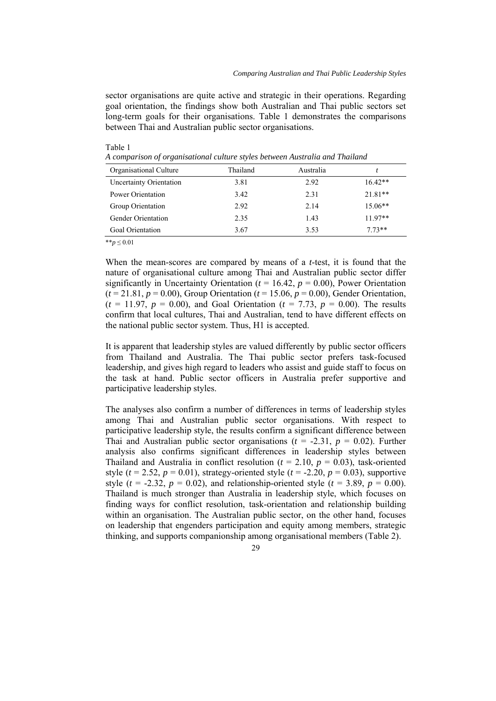sector organisations are quite active and strategic in their operations. Regarding goal orientation, the findings show both Australian and Thai public sectors set long-term goals for their organisations. Table 1 demonstrates the comparisons between Thai and Australian public sector organisations.

| Organisational Culture         | Thailand | Australia |           |
|--------------------------------|----------|-----------|-----------|
| <b>Uncertainty Orientation</b> | 3.81     | 2.92      | $16.42**$ |
| Power Orientation              | 3.42     | 2.31      | $21.81**$ |
| Group Orientation              | 2.92     | 2.14      | $15.06**$ |
| <b>Gender Orientation</b>      | 2.35     | 1.43      | $11.97**$ |
| Goal Orientation               | 3.67     | 3.53      | $773**$   |
|                                |          |           |           |

Table 1

*A comparison of organisational culture styles between Australia and Thailand* 

\*\**p* ≤ 0.01

When the mean-scores are compared by means of a *t*-test, it is found that the nature of organisational culture among Thai and Australian public sector differ significantly in Uncertainty Orientation ( $t = 16.42$ ,  $p = 0.00$ ), Power Orientation  $(t = 21.81, p = 0.00)$ , Group Orientation  $(t = 15.06, p = 0.00)$ , Gender Orientation,  $(t = 11.97, p = 0.00)$ , and Goal Orientation ( $t = 7.73, p = 0.00$ ). The results confirm that local cultures, Thai and Australian, tend to have different effects on the national public sector system. Thus, H1 is accepted.

It is apparent that leadership styles are valued differently by public sector officers from Thailand and Australia. The Thai public sector prefers task-focused leadership, and gives high regard to leaders who assist and guide staff to focus on the task at hand. Public sector officers in Australia prefer supportive and participative leadership styles.

The analyses also confirm a number of differences in terms of leadership styles among Thai and Australian public sector organisations. With respect to participative leadership style, the results confirm a significant difference between Thai and Australian public sector organisations  $(t = -2.31, p = 0.02)$ . Further analysis also confirms significant differences in leadership styles between Thailand and Australia in conflict resolution  $(t = 2.10, p = 0.03)$ , task-oriented style ( $t = 2.52$ ,  $p = 0.01$ ), strategy-oriented style ( $t = -2.20$ ,  $p = 0.03$ ), supportive style ( $t = -2.32$ ,  $p = 0.02$ ), and relationship-oriented style ( $t = 3.89$ ,  $p = 0.00$ ). Thailand is much stronger than Australia in leadership style, which focuses on finding ways for conflict resolution, task-orientation and relationship building within an organisation. The Australian public sector, on the other hand, focuses on leadership that engenders participation and equity among members, strategic thinking, and supports companionship among organisational members (Table 2).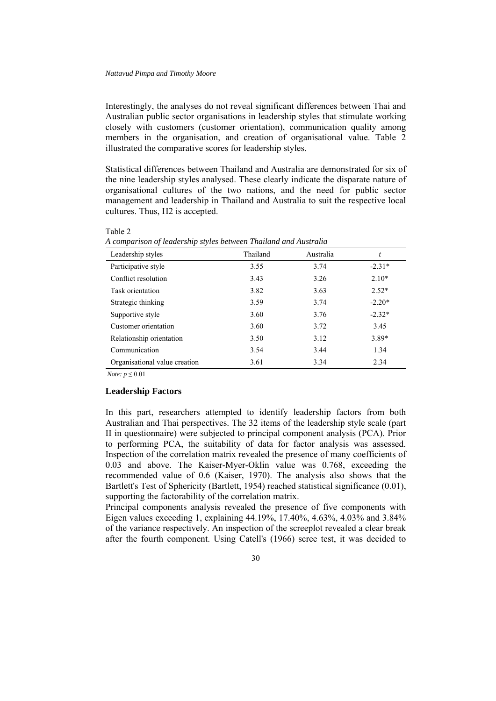Interestingly, the analyses do not reveal significant differences between Thai and Australian public sector organisations in leadership styles that stimulate working closely with customers (customer orientation), communication quality among members in the organisation, and creation of organisational value. Table 2 illustrated the comparative scores for leadership styles.

Statistical differences between Thailand and Australia are demonstrated for six of the nine leadership styles analysed. These clearly indicate the disparate nature of organisational cultures of the two nations, and the need for public sector management and leadership in Thailand and Australia to suit the respective local cultures. Thus, H2 is accepted.

| Leadership styles             | Thailand | Australia | t        |
|-------------------------------|----------|-----------|----------|
| Participative style           | 3.55     | 3.74      | $-2.31*$ |
| Conflict resolution           | 3.43     | 3.26      | $2.10*$  |
| Task orientation              | 3.82     | 3.63      | $2.52*$  |
| Strategic thinking            | 3.59     | 3.74      | $-2.20*$ |
| Supportive style              | 3.60     | 3.76      | $-2.32*$ |
| Customer orientation          | 3.60     | 3.72      | 3.45     |
| Relationship orientation      | 3.50     | 3.12      | 3.89*    |
| Communication                 | 3.54     | 3.44      | 1.34     |
| Organisational value creation | 3.61     | 3.34      | 2.34     |

*A comparison of leadership styles between Thailand and Australia* 

*Note: p* ≤ 0.01

Table 2

### **Leadership Factors**

In this part, researchers attempted to identify leadership factors from both Australian and Thai perspectives. The 32 items of the leadership style scale (part II in questionnaire) were subjected to principal component analysis (PCA). Prior to performing PCA, the suitability of data for factor analysis was assessed. Inspection of the correlation matrix revealed the presence of many coefficients of 0.03 and above. The Kaiser-Myer-Oklin value was 0.768, exceeding the recommended value of 0.6 (Kaiser, 1970). The analysis also shows that the Bartlett's Test of Sphericity (Bartlett, 1954) reached statistical significance (0.01), supporting the factorability of the correlation matrix.

Principal components analysis revealed the presence of five components with Eigen values exceeding 1, explaining 44.19%, 17.40%, 4.63%, 4.03% and 3.84% of the variance respectively. An inspection of the screeplot revealed a clear break after the fourth component. Using Catell's (1966) scree test, it was decided to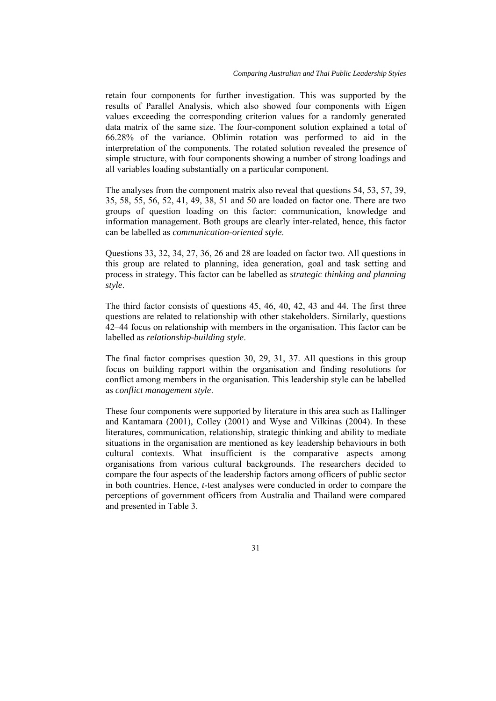retain four components for further investigation. This was supported by the results of Parallel Analysis, which also showed four components with Eigen values exceeding the corresponding criterion values for a randomly generated data matrix of the same size. The four-component solution explained a total of 66.28% of the variance. Oblimin rotation was performed to aid in the interpretation of the components. The rotated solution revealed the presence of simple structure, with four components showing a number of strong loadings and all variables loading substantially on a particular component.

The analyses from the component matrix also reveal that questions 54, 53, 57, 39, 35, 58, 55, 56, 52, 41, 49, 38, 51 and 50 are loaded on factor one. There are two groups of question loading on this factor: communication, knowledge and information management. Both groups are clearly inter-related, hence, this factor can be labelled as *communication-oriented style*.

Questions 33, 32, 34, 27, 36, 26 and 28 are loaded on factor two. All questions in this group are related to planning, idea generation, goal and task setting and process in strategy. This factor can be labelled as *strategic thinking and planning style*.

The third factor consists of questions 45, 46, 40, 42, 43 and 44. The first three questions are related to relationship with other stakeholders. Similarly, questions 42–44 focus on relationship with members in the organisation. This factor can be labelled as *relationship-building style*.

The final factor comprises question 30, 29, 31, 37. All questions in this group focus on building rapport within the organisation and finding resolutions for conflict among members in the organisation. This leadership style can be labelled as *conflict management style*.

These four components were supported by literature in this area such as Hallinger and Kantamara (2001), Colley (2001) and Wyse and Vilkinas (2004). In these literatures, communication, relationship, strategic thinking and ability to mediate situations in the organisation are mentioned as key leadership behaviours in both cultural contexts. What insufficient is the comparative aspects among organisations from various cultural backgrounds. The researchers decided to compare the four aspects of the leadership factors among officers of public sector in both countries. Hence, *t*-test analyses were conducted in order to compare the perceptions of government officers from Australia and Thailand were compared and presented in Table 3.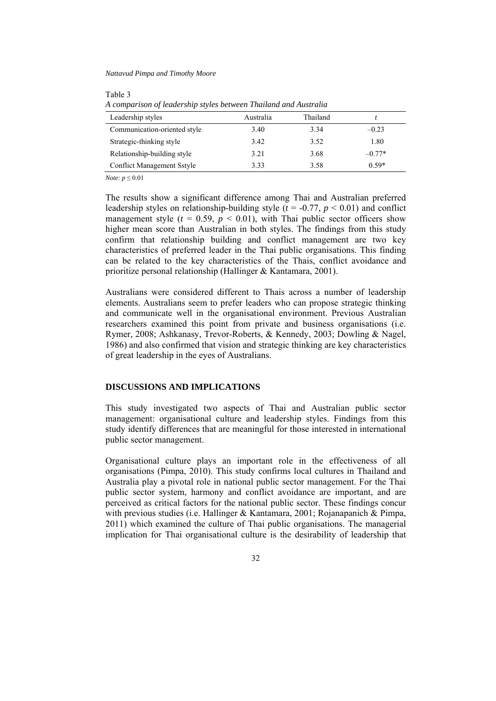#### Table 3

*A comparison of leadership styles between Thailand and Australia* 

| Australia | Thailand |          |
|-----------|----------|----------|
| 3.40      | 3.34     | $-0.23$  |
| 3.42      | 3.52     | 1.80     |
| 3.21      | 3.68     | $-0.77*$ |
| 3.33      | 3.58     | $0.59*$  |
|           |          |          |

*Note: p* ≤ 0.01

The results show a significant difference among Thai and Australian preferred leadership styles on relationship-building style  $(t = -0.77, p \le 0.01)$  and conflict management style ( $t = 0.59$ ,  $p < 0.01$ ), with Thai public sector officers show higher mean score than Australian in both styles. The findings from this study confirm that relationship building and conflict management are two key characteristics of preferred leader in the Thai public organisations. This finding can be related to the key characteristics of the Thais, conflict avoidance and prioritize personal relationship (Hallinger & Kantamara, 2001).

Australians were considered different to Thais across a number of leadership elements. Australians seem to prefer leaders who can propose strategic thinking and communicate well in the organisational environment. Previous Australian researchers examined this point from private and business organisations (i.e. Rymer, 2008; Ashkanasy, Trevor-Roberts, & Kennedy, 2003; Dowling & Nagel, 1986) and also confirmed that vision and strategic thinking are key characteristics of great leadership in the eyes of Australians.

## **DISCUSSIONS AND IMPLICATIONS**

This study investigated two aspects of Thai and Australian public sector management: organisational culture and leadership styles. Findings from this study identify differences that are meaningful for those interested in international public sector management.

Organisational culture plays an important role in the effectiveness of all organisations (Pimpa, 2010). This study confirms local cultures in Thailand and Australia play a pivotal role in national public sector management. For the Thai public sector system, harmony and conflict avoidance are important, and are perceived as critical factors for the national public sector. These findings concur with previous studies (i.e. Hallinger & Kantamara, 2001; Rojanapanich & Pimpa, 2011) which examined the culture of Thai public organisations. The managerial implication for Thai organisational culture is the desirability of leadership that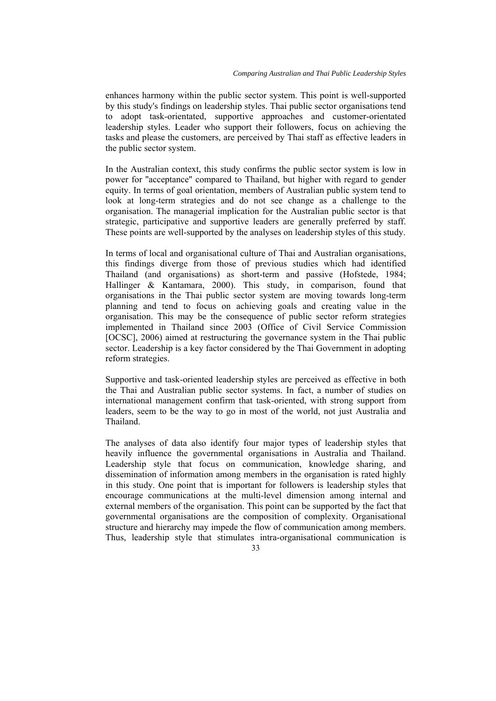enhances harmony within the public sector system. This point is well-supported by this study's findings on leadership styles. Thai public sector organisations tend to adopt task-orientated, supportive approaches and customer-orientated leadership styles. Leader who support their followers, focus on achieving the tasks and please the customers, are perceived by Thai staff as effective leaders in the public sector system.

In the Australian context, this study confirms the public sector system is low in power for ''acceptance'' compared to Thailand, but higher with regard to gender equity. In terms of goal orientation, members of Australian public system tend to look at long-term strategies and do not see change as a challenge to the organisation. The managerial implication for the Australian public sector is that strategic, participative and supportive leaders are generally preferred by staff. These points are well-supported by the analyses on leadership styles of this study.

In terms of local and organisational culture of Thai and Australian organisations, this findings diverge from those of previous studies which had identified Thailand (and organisations) as short-term and passive (Hofstede, 1984; Hallinger & Kantamara, 2000). This study, in comparison, found that organisations in the Thai public sector system are moving towards long-term planning and tend to focus on achieving goals and creating value in the organisation. This may be the consequence of public sector reform strategies implemented in Thailand since 2003 (Office of Civil Service Commission [OCSC], 2006) aimed at restructuring the governance system in the Thai public sector. Leadership is a key factor considered by the Thai Government in adopting reform strategies.

Supportive and task-oriented leadership styles are perceived as effective in both the Thai and Australian public sector systems. In fact, a number of studies on international management confirm that task-oriented, with strong support from leaders, seem to be the way to go in most of the world, not just Australia and Thailand.

The analyses of data also identify four major types of leadership styles that heavily influence the governmental organisations in Australia and Thailand. Leadership style that focus on communication, knowledge sharing, and dissemination of information among members in the organisation is rated highly in this study. One point that is important for followers is leadership styles that encourage communications at the multi-level dimension among internal and external members of the organisation. This point can be supported by the fact that governmental organisations are the composition of complexity. Organisational structure and hierarchy may impede the flow of communication among members. Thus, leadership style that stimulates intra-organisational communication is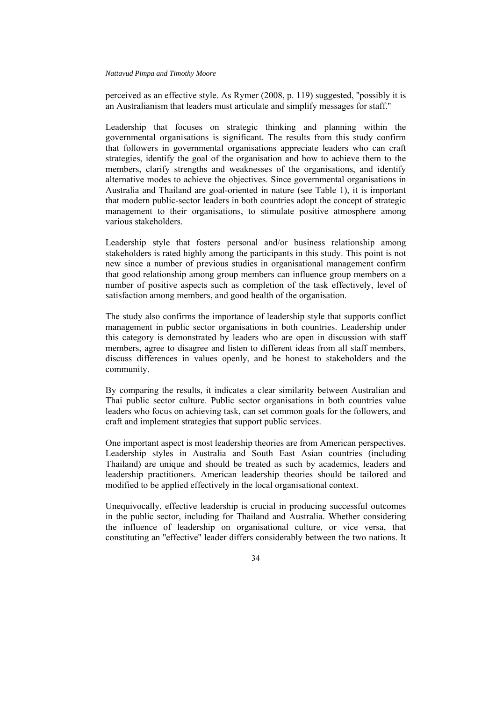perceived as an effective style. As Rymer (2008, p. 119) suggested, ''possibly it is an Australianism that leaders must articulate and simplify messages for staff.''

Leadership that focuses on strategic thinking and planning within the governmental organisations is significant. The results from this study confirm that followers in governmental organisations appreciate leaders who can craft strategies, identify the goal of the organisation and how to achieve them to the members, clarify strengths and weaknesses of the organisations, and identify alternative modes to achieve the objectives. Since governmental organisations in Australia and Thailand are goal-oriented in nature (see Table 1), it is important that modern public-sector leaders in both countries adopt the concept of strategic management to their organisations, to stimulate positive atmosphere among various stakeholders.

Leadership style that fosters personal and/or business relationship among stakeholders is rated highly among the participants in this study. This point is not new since a number of previous studies in organisational management confirm that good relationship among group members can influence group members on a number of positive aspects such as completion of the task effectively, level of satisfaction among members, and good health of the organisation.

The study also confirms the importance of leadership style that supports conflict management in public sector organisations in both countries. Leadership under this category is demonstrated by leaders who are open in discussion with staff members, agree to disagree and listen to different ideas from all staff members, discuss differences in values openly, and be honest to stakeholders and the community.

By comparing the results, it indicates a clear similarity between Australian and Thai public sector culture. Public sector organisations in both countries value leaders who focus on achieving task, can set common goals for the followers, and craft and implement strategies that support public services.

One important aspect is most leadership theories are from American perspectives. Leadership styles in Australia and South East Asian countries (including Thailand) are unique and should be treated as such by academics, leaders and leadership practitioners. American leadership theories should be tailored and modified to be applied effectively in the local organisational context.

Unequivocally, effective leadership is crucial in producing successful outcomes in the public sector, including for Thailand and Australia. Whether considering the influence of leadership on organisational culture, or vice versa, that constituting an ''effective'' leader differs considerably between the two nations. It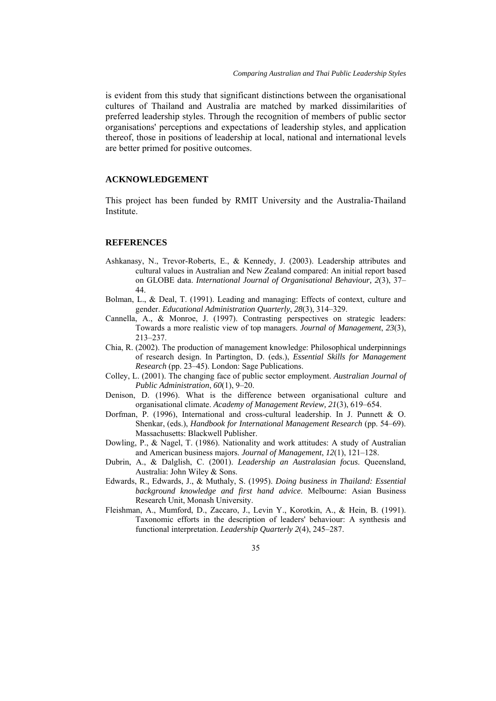is evident from this study that significant distinctions between the organisational cultures of Thailand and Australia are matched by marked dissimilarities of preferred leadership styles. Through the recognition of members of public sector organisations' perceptions and expectations of leadership styles, and application thereof, those in positions of leadership at local, national and international levels are better primed for positive outcomes.

### **ACKNOWLEDGEMENT**

This project has been funded by RMIT University and the Australia-Thailand Institute.

### **REFERENCES**

- Ashkanasy, N., Trevor-Roberts, E., & Kennedy, J. (2003). Leadership attributes and cultural values in Australian and New Zealand compared: An initial report based on GLOBE data. *International Journal of Organisational Behaviour, 2*(3), 37– 44.
- Bolman, L., & Deal, T. (1991). Leading and managing: Effects of context, culture and gender. *Educational Administration Quarterly*, *28*(3), 314–329.
- Cannella, A., & Monroe, J. (1997). Contrasting perspectives on strategic leaders: Towards a more realistic view of top managers. *Journal of Management*, *23*(3), 213–237.
- Chia, R. (2002). The production of management knowledge: Philosophical underpinnings of research design. In Partington, D. (eds.), *Essential Skills for Management Research* (pp. 23–45). London: Sage Publications.
- Colley, L. (2001). The changing face of public sector employment. *Australian Journal of Public Administration*, *60*(1), 9–20.
- Denison, D. (1996). What is the difference between organisational culture and organisational climate. *Academy of Management Review, 21*(3), 619–654.
- Dorfman, P. (1996), International and cross-cultural leadership. In J. Punnett & O. Shenkar, (eds.), *Handbook for International Management Research* (pp. 54–69). Massachusetts: Blackwell Publisher.
- Dowling, P., & Nagel, T. (1986). Nationality and work attitudes: A study of Australian and American business majors. *Journal of Management*, *12*(1), 121–128.
- Dubrin, A., & Dalglish, C. (2001). *Leadership an Australasian focus*. Queensland, Australia: John Wiley & Sons.
- Edwards, R., Edwards, J., & Muthaly, S. (1995). *Doing business in Thailand: Essential background knowledge and first hand advice*. Melbourne: Asian Business Research Unit, Monash University.
- Fleishman, A., Mumford, D., Zaccaro, J., Levin Y., Korotkin, A., & Hein, B. (1991). Taxonomic efforts in the description of leaders' behaviour: A synthesis and functional interpretation. *Leadership Quarterly 2*(4), 245–287.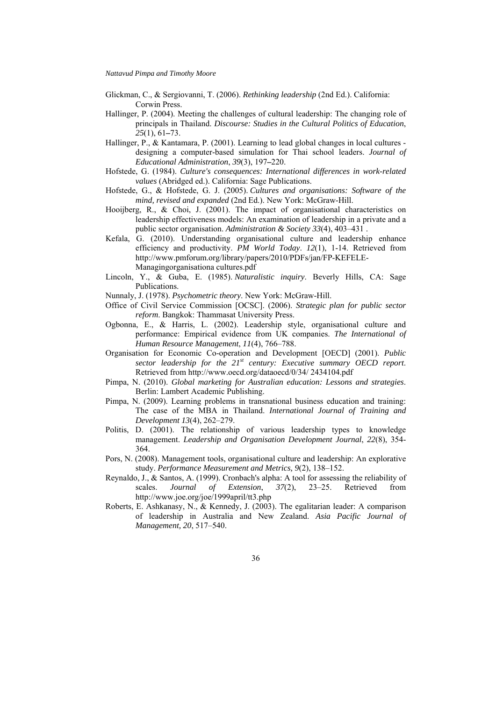- Glickman, C., & Sergiovanni, T. (2006). *Rethinking leadership* (2nd Ed.). California: Corwin Press.
- Hallinger, P. (2004). Meeting the challenges of cultural leadership: The changing role of principals in Thailand. *Discourse: Studies in the Cultural Politics of Education*, *25*(1), 61**–**73.
- Hallinger, P., & Kantamara, P. (2001). Learning to lead global changes in local cultures designing a computer-based simulation for Thai school leaders. *Journal of Educational Administration*, *39*(3), 197**–**220.
- Hofstede, G. (1984). *Culture's consequences: International differences in work-related va*l*ues* (Abridged ed.). California: Sage Publications.
- Hofstede, G., & Hofstede, G. J. (2005). *Cultures and organisations: Software of the mind, revised and expanded* (2nd Ed.). New York: McGraw-Hill.
- Hooijberg, R., & Choi, J. (2001). The impact of organisational characteristics on leadership effectiveness models: An examination of leadership in a private and a public sector organisation. *Administration & Society 33*(4), 403–431 .
- Kefala, G. (2010). Understanding organisational culture and leadership enhance efficiency and productivity. *PM World Today*. *12*(1), 1-14. Retrieved from [http://www.pmforum.org/library/papers/2010/PDFs/jan/FP-KEFELE-](http://www.pmforum.org/library/papers/2010/PDFs/jan/FP-KEFELE-Managingorganisationa%20cultures.pdf)[Managingorganisationa cultures.pdf](http://www.pmforum.org/library/papers/2010/PDFs/jan/FP-KEFELE-Managingorganisationa%20cultures.pdf)
- Lincoln, Y., & Guba, E. (1985). *Naturalistic inquiry*. Beverly Hills, CA: Sage Publications.
- Nunnaly, J. (1978). *Psychometric theory*. New York: McGraw-Hill.
- Office of Civil Service Commission [OCSC]. (2006). *Strategic plan for public sector reform*. Bangkok: Thammasat University Press.
- Ogbonna, E., & Harris, L. (2002). Leadership style, organisational culture and performance: Empirical evidence from UK companies. *The International of Human Resource Management*, *11*(4), 766–788.
- Organisation for Economic Co-operation and Development [OECD] (2001). *Public sector leadership for the 21st century: Executive summary OECD report*. Retrieved from http://www.oecd.org/dataoecd/0/34/ 2434104.pdf
- Pimpa, N. (2010). *Global marketing for Australian education: Lessons and strategies*. Berlin: Lambert Academic Publishing.
- Pimpa, N. (2009). Learning problems in transnational business education and training: The case of the MBA in Thailand. *International Journal of Training and Development 13*(4), 262–279.
- Politis, D. (2001). The relationship of various leadership types to knowledge management. *Leadership and Organisation Development Journal*, *22*(8), 354- 364.
- Pors, N. (2008). Management tools, organisational culture and leadership: An explorative study. *Performance Measurement and Metrics, 9*(2), 138–152.
- Reynaldo, J., & Santos, A. (1999). Cronbach's alpha: A tool for assessing the reliability of scales. *Journal of Extension*,  $37(2)$ ,  $23-25$ . Retrieved from scales. *Journal of Extension*, *37*(2), 23–25. Retrieved from <http://www.joe.org/joe/1999april/tt3.php>
- Roberts, E. Ashkanasy, N., & Kennedy, J. (2003). The egalitarian leader: A comparison of leadership in Australia and New Zealand. *Asia Pacific Journal of Management, 20*, 517–540.